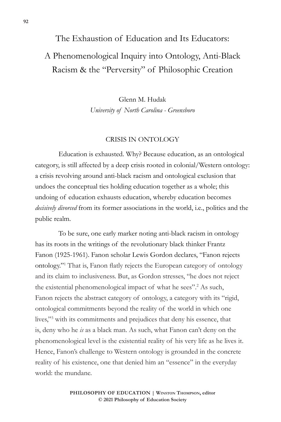# The Exhaustion of Education and Its Educators: A Phenomenological Inquiry into Ontology, Anti-Black Racism & the "Perversity" of Philosophic Creation

Glenn M. Hudak *University of North Carolina - Greensboro*

#### CRISIS IN ONTOLOGY

Education is exhausted. Why? Because education, as an ontological category, is still affected by a deep crisis rooted in colonial/Western ontology: a crisis revolving around anti-black racism and ontological exclusion that undoes the conceptual ties holding education together as a whole; this undoing of education exhausts education, whereby education becomes *decisively divorced* from its former associations in the world, i.e., politics and the public realm.

To be sure, one early marker noting anti-black racism in ontology has its roots in the writings of the revolutionary black thinker Frantz Fanon (1925-1961). Fanon scholar Lewis Gordon declares, "Fanon rejects ontology."1 That is, Fanon flatly rejects the European category of ontology and its claim to inclusiveness. But, as Gordon stresses, "he does not reject the existential phenomenological impact of what he sees".<sup>2</sup> As such, Fanon rejects the abstract category of ontology, a category with its "rigid, ontological commitments beyond the reality of the world in which one lives,"3 with its commitments and prejudices that deny his essence, that is, deny who he *is* as a black man. As such, what Fanon can't deny on the phenomenological level is the existential reality of his very life as he lives it. Hence, Fanon's challenge to Western ontology is grounded in the concrete reality of his existence, one that denied him an "essence" in the everyday world: the mundane.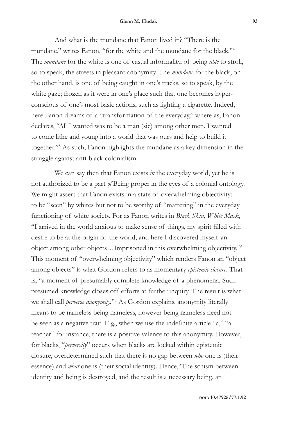And what is the mundane that Fanon lived in? "There is the mundane," writes Fanon, "for the white and the mundane for the black."4 The *mundane* for the white is one of casual informality, of being *able* to stroll, so to speak, the streets in pleasant anonymity. The *mundane* for the black, on the other hand, is one of being caught in one's tracks, so to speak, by the white gaze; frozen as it were in one's place such that one becomes hyperconscious of one's most basic actions, such as lighting a cigarette. Indeed, here Fanon dreams of a "transformation of the everyday," where as, Fanon declares, "All I wanted was to be a man (sic) among other men. I wanted to come lithe and young into a world that was ours and help to build it together."5 As such, Fanon highlights the mundane as a key dimension in the struggle against anti-black colonialism.

We can say then that Fanon exists *in* the everyday world, yet he is not authorized to be a part *of* Being proper in the eyes of a colonial ontology. We might assert that Fanon exists in a state of overwhelming objectivity: to be "seen" by whites but not to be worthy of "mattering" in the everyday functioning of white society. For as Fanon writes in *Black Skin, White Mask*, "I arrived in the world anxious to make sense of things, my spirit filled with desire to be at the origin of the world, and here I discovered myself an object among other objects…Imprisoned in this overwhelming objectivity."6 This moment of "overwhelming objectivity" which renders Fanon an "object among objects" is what Gordon refers to as momentary *epistemic closure*. That is, "a moment of presumably complete knowledge of a phenomena. Such presumed knowledge closes off efforts at further inquiry. The result is what we shall call *perverse anonymity.*"7 As Gordon explains, anonymity literally means to be nameless being nameless, however being nameless need not be seen as a negative trait. E.g., when we use the indefinite article "a," "a teacher" for instance, there is a positive valence to this anonymity. However, for blacks, "*perversity*" occurs when blacks are locked within epistemic closure, overdetermined such that there is no gap between *who* one is (their essence) and *what* one is (their social identity). Hence,"The schism between identity and being is destroyed, and the result is a necessary being, an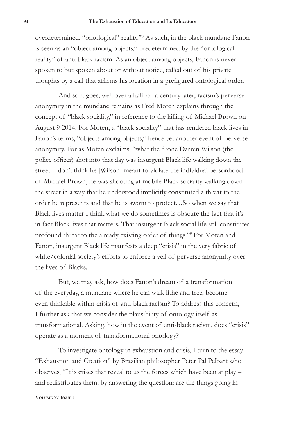overdetermined, "ontological" reality."8 As such, in the black mundane Fanon is seen as an "object among objects," predetermined by the "ontological reality" of anti-black racism. As an object among objects, Fanon is never spoken to but spoken about or without notice, called out of his private thoughts by a call that affirms his location in a prefigured ontological order.

And so it goes, well over a half of a century later, racism's perverse anonymity in the mundane remains as Fred Moten explains through the concept of "black sociality," in reference to the killing of Michael Brown on August 9 2014. For Moten, a "black sociality" that has rendered black lives in Fanon's terms, "objects among objects," hence yet another event of perverse anonymity. For as Moten exclaims, "what the drone Darren Wilson (the police officer) shot into that day was insurgent Black life walking down the street. I don't think he [Wilson] meant to violate the individual personhood of Michael Brown; he was shooting at mobile Black sociality walking down the street in a way that he understood implicitly constituted a threat to the order he represents and that he is sworn to protect…So when we say that Black lives matter I think what we do sometimes is obscure the fact that it's in fact Black lives that matters. That insurgent Black social life still constitutes profound threat to the already existing order of things."9 For Moten and Fanon, insurgent Black life manifests a deep "crisis" in the very fabric of white/colonial society's efforts to enforce a veil of perverse anonymity over the lives of Blacks.

But, we may ask, how does Fanon's dream of a transformation of the everyday, a mundane where he can walk lithe and free, become even thinkable within crisis of anti-black racism? To address this concern, I further ask that we consider the plausibility of ontology itself as transformational. Asking, how in the event of anti-black racism, does "crisis" operate as a moment of transformational ontology?

To investigate ontology in exhaustion and crisis, I turn to the essay "Exhaustion and Creation" by Brazilian philosopher Peter Pal Pelbart who observes, "It is crises that reveal to us the forces which have been at play – and redistributes them, by answering the question: are the things going in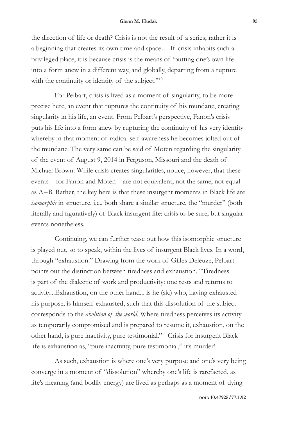the direction of life or death? Crisis is not the result of a series; rather it is a beginning that creates its own time and space… If crisis inhabits such a privileged place, it is because crisis is the means of 'putting one's own life into a form anew in a different way, and globally, departing from a rupture with the continuity or identity of the subject."<sup>10</sup>

For Pelbart, crisis is lived as a moment of singularity, to be more precise here, an event that ruptures the continuity of his mundane, creating singularity in his life, an event. From Pelbart's perspective, Fanon's crisis puts his life into a form anew by rupturing the continuity of his very identity whereby in that moment of radical self-awareness he becomes jolted out of the mundane. The very same can be said of Moten regarding the singularity of the event of August 9, 2014 in Ferguson, Missouri and the death of Michael Brown. While crisis creates singularities, notice, however, that these events – for Fanon and Moten – are not equivalent, not the same, not equal as A=B. Rather, the key here is that these insurgent moments in Black life are *isomorphic* in structure, i.e., both share a similar structure, the "murder" (both literally and figuratively) of Black insurgent life: crisis to be sure, but singular events nonetheless.

Continuing, we can further tease out how this isomorphic structure is played out, so to speak, within the lives of insurgent Black lives. In a word, through "exhaustion." Drawing from the work of Gilles Deleuze, Pelbart points out the distinction between tiredness and exhaustion. "Tiredness is part of the dialectic of work and productivity: one rests and returns to activity...Exhaustion, on the other hand... is he (sic) who, having exhausted his purpose, is himself exhausted, such that this dissolution of the subject corresponds to the *abolition of the world*. Where tiredness perceives its activity as temporarily compromised and is prepared to resume it, exhaustion, on the other hand, is pure inactivity, pure testimonial."11 Crisis for insurgent Black life is exhaustion as, "pure inactivity, pure testimonial," it's murder!

As such, exhaustion is where one's very purpose and one's very being converge in a moment of "dissolution" whereby one's life is rarefacted, as life's meaning (and bodily energy) are lived as perhaps as a moment of dying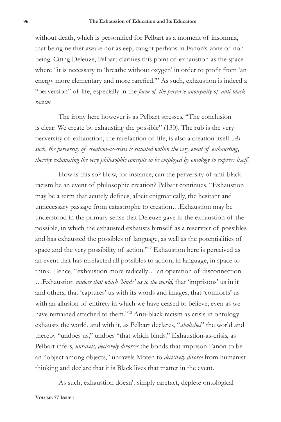without death, which is personified for Pelbart as a moment of insomnia, that being neither awake nor asleep, caught perhaps in Fanon's zone of nonbeing. Citing Deleuze, Pelbart clarifies this point of exhaustion as the space where "it is necessary to 'breathe without oxygen' in order to profit from 'an energy more elementary and more rarefied.'" As such, exhaustion is indeed a "perversion" of life, especially in the *form of the perverse anonymity of anti-black racism.*

The irony here however is as Pelbart stresses, "The conclusion is clear: We create by exhausting the possible" (130). The rub is the very perversity of exhaustion, the rarefaction of life, is also a creation itself. *As such, the perversity of creation-as-crisis is situated within the very event of exhausting, thereby exhausting the very philosophic concepts to be employed by ontology to express itself.*

How is this so? How, for instance, can the perversity of anti-black racism be an event of philosophic creation? Pelbart continues, "Exhaustion may be a term that acutely defines, albeit enigmatically, the hesitant and unnecessary passage from catastrophe to creation…Exhaustion may be understood in the primary sense that Deleuze gave it: the exhaustion of the possible, in which the exhausted exhausts himself as a reservoir of possibles and has exhausted the possibles of language, as well as the potentialities of space and the very possibility of action."12 Exhaustion here is perceived as an event that has rarefacted all possibles to action, in language, in space to think. Hence, "exhaustion more radically… an operation of disconnection …Exhaustion *undoes that which 'binds' us to the world,* that 'imprisons' us in it and others, that 'captures' us with its words and images, that 'comforts' us with an allusion of entirety in which we have ceased to believe, even as we have remained attached to them."<sup>13</sup> Anti-black racism as crisis in ontology exhausts the world, and with it, as Pelbart declares, "*abolishes*" the world and thereby "undoes us," undoes "that which binds." Exhaustion-as-crisis, as Pelbart infers, *unravels, decisively divorces* the bonds that imprison Fanon to be an "object among objects," unravels Moten to *decisively divorce* from humanist thinking and declare that it is Black lives that matter in the event.

As such, exhaustion doesn't simply rarefact, deplete ontological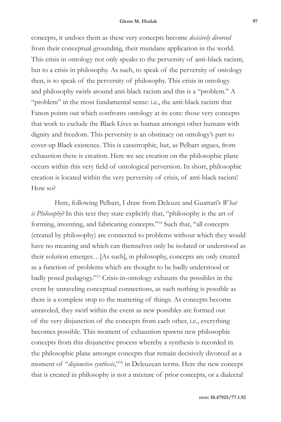concepts, it undoes them as these very concepts become *decisively divorced* from their conceptual grounding, their mundane application in the world. This crisis in ontology not only speaks to the perversity of anti-black racism, but to a crisis in philosophy. As such, to speak of the perversity of ontology then, is to speak of the perversity of philosophy. This crisis in ontology and philosophy swirls around anti-black racism and this is a "problem." A "problem" in the most fundamental sense: i.e., the anti-black racism that Fanon points out which confronts ontology at its core: those very concepts that work to exclude the Black Lives as human amongst other humans with dignity and freedom. This perversity is an obstinacy on ontology's part to cover-up Black existence. This is catastrophic, but, as Pelbart argues, from exhaustion there is creation. Here we see creation on the philosophic plane occurs within this very field of ontological perversion. In short, philosophic creation is located within the very perversity of crisis, of anti-black racism! How so?

Here, following Pelbart, I draw from Deleuze and Guattari's *What is Philosophy*?In this text they state explicitly that, "philosophy is the art of forming, inventing, and fabricating concepts."14 Such that, "all concepts (created by philosophy) are connected to problems without which they would have no meaning and which can themselves only be isolated or understood as their solution emerges…[As such], in philosophy, concepts are only created as a function of problems which are thought to be badly understood or badly posed pedagogy."15 Crisis-in-ontology exhausts the possibles in the event by unraveling conceptual connections, as such nothing is possible as there is a complete stop to the mattering of things. As concepts become unraveled, they swirl within the event as new possibles are formed out of the very disjunction of the concepts from each other, i.e., everything becomes possible. This moment of exhaustion spawns new philosophic concepts from this disjunctive process whereby a synthesis is recorded in the philosophic plane amongst concepts that remain decisively divorced as a moment of "*disjunctive synthesis*,"16 in Deleuzean terms. Here the new concept that is created in philosophy is not a mixture of prior concepts, or a dialectal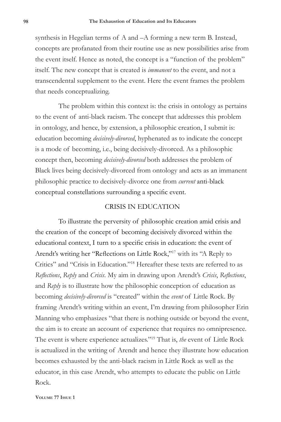synthesis in Hegelian terms of A and –A forming a new term B. Instead, concepts are profanated from their routine use as new possibilities arise from the event itself. Hence as noted, the concept is a "function of the problem" itself. The new concept that is created is *immanent* to the event, and not a transcendental supplement to the event. Here the event frames the problem that needs conceptualizing.

The problem within this context is: the crisis in ontology as pertains to the event of anti-black racism. The concept that addresses this problem in ontology, and hence, by extension, a philosophic creation, I submit is: education becoming *decisively-divorced*, hyphenated as to indicate the concept is a mode of becoming, i.e., being decisively-divorced. As a philosophic concept then, becoming *decisively-divorced* both addresses the problem of Black lives being decisively-divorced from ontology and acts as an immanent philosophic practice to decisively-divorce one from *current* anti-black conceptual constellations surrounding a specific event.

### CRISIS IN EDUCATION

To illustrate the perversity of philosophic creation amid crisis and the creation of the concept of becoming decisively divorced within the educational context, I turn to a specific crisis in education: the event of Arendt's writing her "Reflections on Little Rock,"17 with its "A Reply to Critics" and "Crisis in Education."18 Hereafter these texts are referred to as *Reflections*, *Reply* and *Crisis*. My aim in drawing upon Arendt's *Crisis*, *Reflections*, and *Reply* is to illustrate how the philosophic conception of education as becoming *decisively-divorced* is "created" within the *event* of Little Rock. By framing Arendt's writing within an event, I'm drawing from philosopher Erin Manning who emphasizes "that there is nothing outside or beyond the event, the aim is to create an account of experience that requires no omnipresence. The event is where experience actualizes."19 That is, *the* event of Little Rock is actualized in the writing of Arendt and hence they illustrate how education becomes exhausted by the anti-black racism in Little Rock as well as the educator, in this case Arendt, who attempts to educate the public on Little Rock.

**Volume 77 Issue 1**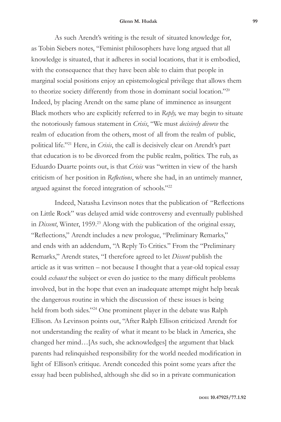#### **Glenn M. Hudak 99**

As such Arendt's writing is the result of situated knowledge for, as Tobin Siebers notes, "Feminist philosophers have long argued that all knowledge is situated, that it adheres in social locations, that it is embodied, with the consequence that they have been able to claim that people in marginal social positions enjoy an epistemological privilege that allows them to theorize society differently from those in dominant social location."20 Indeed, by placing Arendt on the same plane of imminence as insurgent Black mothers who are explicitly referred to in *Reply,* we may begin to situate the notoriously famous statement in *Crisis*, "We must *decisively divorce* the realm of education from the others, most of all from the realm of public, political life."21 Here, in *Crisis*, the call is decisively clear on Arendt's part that education is to be divorced from the public realm, politics. The rub, as Eduardo Duarte points out, is that *Crisis* was "written in view of the harsh criticism of her position in *Reflections*, where she had, in an untimely manner, argued against the forced integration of schools."22

Indeed, Natasha Levinson notes that the publication of "Reflections on Little Rock" was delayed amid wide controversy and eventually published in *Dissent*, Winter, 1959.<sup>23</sup> Along with the publication of the original essay, "Reflections," Arendt includes a new prologue, "Preliminary Remarks," and ends with an addendum, "A Reply To Critics." From the "Preliminary Remarks," Arendt states, "I therefore agreed to let *Dissent* publish the article as it was written – not because I thought that a year-old topical essay could *exhaust* the subject or even do justice to the many difficult problems involved, but in the hope that even an inadequate attempt might help break the dangerous routine in which the discussion of these issues is being held from both sides."24 One prominent player in the debate was Ralph Ellison. As Levinson points out, "After Ralph Ellison criticized Arendt for not understanding the reality of what it meant to be black in America, she changed her mind…[As such, she acknowledges] the argument that black parents had relinquished responsibility for the world needed modification in light of Ellison's critique. Arendt conceded this point some years after the essay had been published, although she did so in a private communication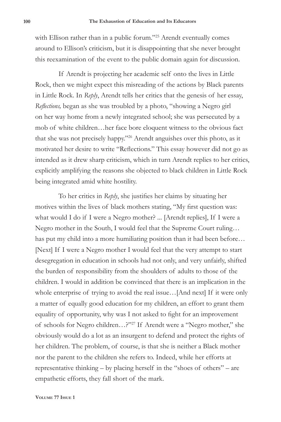with Ellison rather than in a public forum."25 Arendt eventually comes around to Ellison's criticism, but it is disappointing that she never brought this reexamination of the event to the public domain again for discussion.

If Arendt is projecting her academic self onto the lives in Little Rock, then we might expect this misreading of the actions by Black parents in Little Rock. In *Reply*, Arendt tells her critics that the genesis of her essay, *Reflections,* began as she was troubled by a photo, "showing a Negro girl on her way home from a newly integrated school; she was persecuted by a mob of white children…her face bore eloquent witness to the obvious fact that she was not precisely happy."26 Arendt anguishes over this photo, as it motivated her desire to write "Reflections." This essay however did not go as intended as it drew sharp criticism, which in turn Arendt replies to her critics, explicitly amplifying the reasons she objected to black children in Little Rock being integrated amid white hostility.

To her critics in *Reply*, she justifies her claims by situating her motives within the lives of black mothers stating, "My first question was: what would I do if I were a Negro mother? ... [Arendt replies], If I were a Negro mother in the South, I would feel that the Supreme Court ruling… has put my child into a more humiliating position than it had been before… [Next] If I were a Negro mother I would feel that the very attempt to start desegregation in education in schools had not only, and very unfairly, shifted the burden of responsibility from the shoulders of adults to those of the children. I would in addition be convinced that there is an implication in the whole enterprise of trying to avoid the real issue…[And next] If it were only a matter of equally good education for my children, an effort to grant them equality of opportunity, why was I not asked to fight for an improvement of schools for Negro children…?"27 If Arendt were a "Negro mother," she obviously would do a lot as an insurgent to defend and protect the rights of her children. The problem, of course, is that she is neither a Black mother nor the parent to the children she refers to. Indeed, while her efforts at representative thinking – by placing herself in the "shoes of others" – are empathetic efforts, they fall short of the mark.

**Volume 77 Issue 1**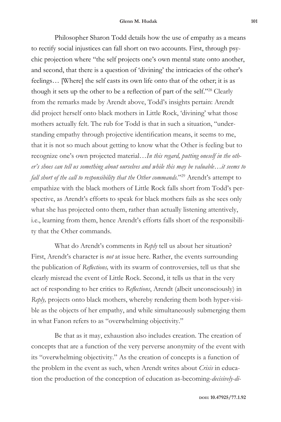Philosopher Sharon Todd details how the use of empathy as a means to rectify social injustices can fall short on two accounts. First, through psychic projection where "the self projects one's own mental state onto another, and second, that there is a question of 'divining' the intricacies of the other's feelings… [Where] the self casts its own life onto that of the other; it is as though it sets up the other to be a reflection of part of the self."28 Clearly from the remarks made by Arendt above, Todd's insights pertain: Arendt did project herself onto black mothers in Little Rock, 'divining' what those mothers actually felt. The rub for Todd is that in such a situation, "understanding empathy through projective identification means, it seems to me, that it is not so much about getting to know what the Other is feeling but to recognize one's own projected material…*In this regard, putting oneself in the other's shoes can tell us something about ourselves and while this may be valuable…it seems to fall short of the call to responsibility that the Other commands.*"29 Arendt's attempt to empathize with the black mothers of Little Rock falls short from Todd's perspective, as Arendt's efforts to speak for black mothers fails as she sees only what she has projected onto them, rather than actually listening attentively, i.e., learning from them, hence Arendt's efforts falls short of the responsibility that the Other commands.

What do Arendt's comments in *Reply* tell us about her situation? First, Arendt's character is *not* at issue here. Rather, the events surrounding the publication of *Reflections,* with its swarm of controversies, tell us that she clearly misread the event of Little Rock. Second, it tells us that in the very act of responding to her critics to *Reflections*, Arendt (albeit unconsciously) in *Reply,* projects onto black mothers, whereby rendering them both hyper-visible as the objects of her empathy, and while simultaneously submerging them in what Fanon refers to as "overwhelming objectivity."

Be that as it may, exhaustion also includes creation. The creation of concepts that are a function of the very perverse anonymity of the event with its "overwhelming objectivity." As the creation of concepts is a function of the problem in the event as such, when Arendt writes about *Crisis* in education the production of the conception of education as-becoming-*decisively-di-*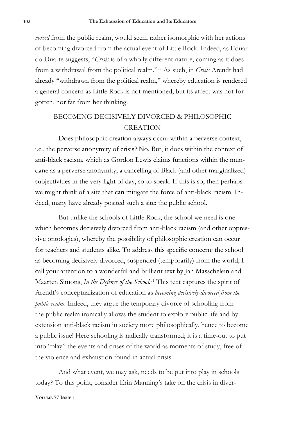*vorced* from the public realm, would seem rather isomorphic with her actions of becoming divorced from the actual event of Little Rock. Indeed, as Eduardo Duarte suggests, "*Crisis* is of a wholly different nature, coming as it does from a withdrawal from the political realm."30 As such, in *Crisis* Arendt had already "withdrawn from the political realm," whereby education is rendered a general concern as Little Rock is not mentioned, but its affect was not forgotten, nor far from her thinking.

## BECOMING DECISIVELY DIVORCED & PHILOSOPHIC **CREATION**

Does philosophic creation always occur within a perverse context, i.e., the perverse anonymity of crisis? No. But, it does within the context of anti-black racism, which as Gordon Lewis claims functions within the mundane as a perverse anonymity, a cancelling of Black (and other marginalized) subjectivities in the very light of day, so to speak. If this is so, then perhaps we might think of a site that can mitigate the force of anti-black racism. Indeed, many have already posited such a site: the public school.

But unlike the schools of Little Rock, the school we need is one which becomes decisively divorced from anti-black racism (and other oppressive ontologies), whereby the possibility of philosophic creation can occur for teachers and students alike. To address this specific concern: the school as becoming decisively divorced, suspended (temporarily) from the world, I call your attention to a wonderful and brilliant text by Jan Masschelein and Maarten Simons, *In the Defence of the School.*31 This text captures the spirit of Arendt's conceptualization of education as *becoming decisively-divorced from the public realm*. Indeed, they argue the temporary divorce of schooling from the public realm ironically allows the student to explore public life and by extension anti-black racism in society more philosophically, hence to become a public issue! Here schooling is radically transformed; it is a time-out to put into "play" the events and crises of the world as moments of study, free of the violence and exhaustion found in actual crisis.

And what event, we may ask, needs to be put into play in schools today? To this point, consider Erin Manning's take on the crisis in diver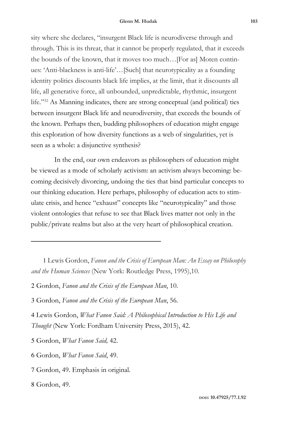sity where she declares, "insurgent Black life is neurodiverse through and through. This is its threat, that it cannot be properly regulated, that it exceeds the bounds of the known, that it moves too much…[For as] Moten continues: 'Anti-blackness is anti-life'…[Such] that neurotypicality as a founding identity politics discounts black life implies, at the limit, that it discounts all life, all generative force, all unbounded, unpredictable, rhythmic, insurgent life."32 As Manning indicates, there are strong conceptual (and political) ties between insurgent Black life and neurodiversity, that exceeds the bounds of the known. Perhaps then, budding philosophers of education might engage this exploration of how diversity functions as a web of singularities, yet is seen as a whole: a disjunctive synthesis?

In the end, our own endeavors as philosophers of education might be viewed as a mode of scholarly activism: an activism always becoming: becoming decisively divorcing, undoing the ties that bind particular concepts to our thinking education. Here perhaps, philosophy of education acts to stimulate crisis, and hence "exhaust" concepts like "neurotypicality" and those violent ontologies that refuse to see that Black lives matter not only in the public/private realms but also at the very heart of philosophical creation.

- 1 Lewis Gordon, *Fanon and the Crisis of European Man: An Essay on Philosophy and the Human Sciences* (New York: Routledge Press, 1995),10.
- 2 Gordon, *Fanon and the Crisis of the European Man*, 10.
- 3 Gordon, *Fanon and the Crisis of the European Man*, 56.

4 Lewis Gordon, *What Fanon Said: A Philosophical Introduction to His Life and Thought* (New York: Fordham University Press, 2015), 42.

5 Gordon, *What Fanon Said,* 42.

6 Gordon, *What Fanon Said*, 49.

<sup>7</sup> Gordon, 49. Emphasis in original.

<sup>8</sup> Gordon, 49.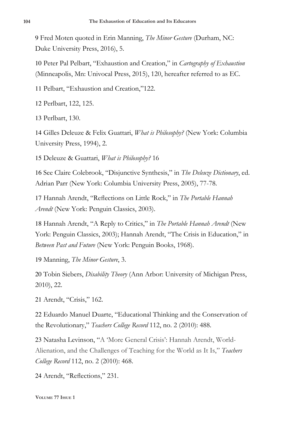9 Fred Moten quoted in Erin Manning, *The Minor Gesture* (Durham, NC: Duke University Press, 2016), 5.

10 Peter Pal Pelbart, "Exhaustion and Creation," in *Cartography of Exhaustion* (Minneapolis, Mn: Univocal Press, 2015), 120, hereafter referred to as EC.

11 Pelbart, "Exhaustion and Creation,"122.

12 Perlbart, 122, 125.

13 Perlbart, 130.

14 Gilles Deleuze & Felix Guattari, *What is Philosophy?* (New York: Columbia University Press, 1994), 2.

15 Deleuze & Guattari, *What is Philosophy?* 16

16 See Claire Colebrook, "Disjunctive Synthesis," in *The Deleuze Dictionary*, ed. Adrian Parr (New York: Columbia University Press, 2005), 77-78.

17 Hannah Arendt, "Reflections on Little Rock," in *The Portable Hannah Arendt* (New York: Penguin Classics, 2003).

18 Hannah Arendt, "A Reply to Critics," in *The Portable Hannah Arendt* (New York: Penguin Classics, 2003); Hannah Arendt, "The Crisis in Education," in *Between Past and Future* (New York: Penguin Books, 1968).

19 Manning, *The Minor Gesture*, 3.

20 Tobin Siebers, *Disability Theory* (Ann Arbor: University of Michigan Press, 2010), 22.

21 Arendt, "Crisis," 162.

22 Eduardo Manuel Duarte, "Educational Thinking and the Conservation of the Revolutionary," *Teachers College Record* 112, no. 2 (2010): 488.

23 Natasha Levinson, "A 'More General Crisis': Hannah Arendt, World-Alienation, and the Challenges of Teaching for the World as It Is," *Teachers College Record* 112, no. 2 (2010): 468.

24 Arendt, "Reflections," 231.